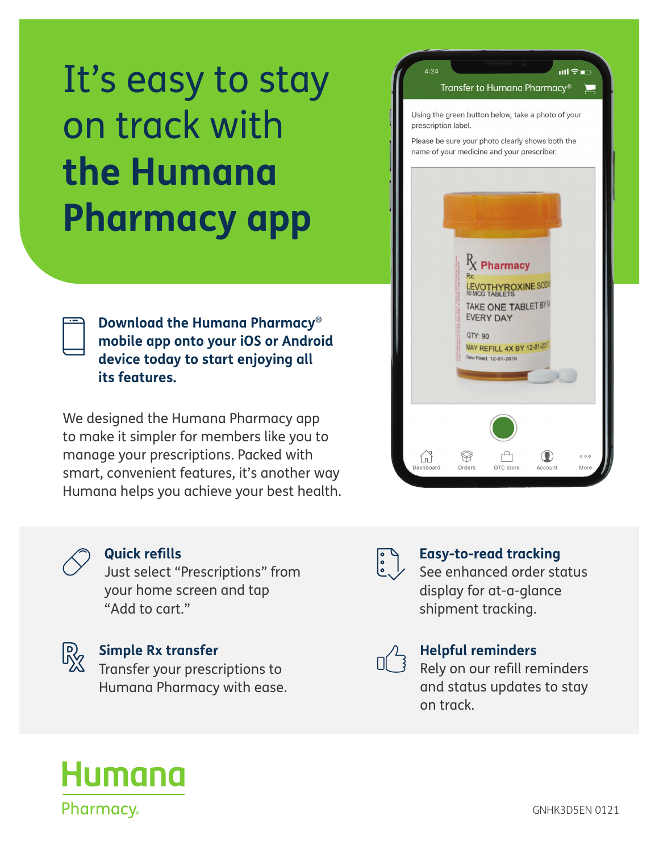# It's easy to stay on track with **the Humana Pharmacy app**

**Download the Humana Pharmacy® mobile app onto your iOS or Android device today to start enjoying all its features.**

We designed the Humana Pharmacy app to make it simpler for members like you to manage your prescriptions. Packed with smart, convenient features, it's another way Humana helps you achieve your best health.





#### **Quick refills**

Just select "Prescriptions" from your home screen and tap "Add to cart."



## **Simple Rx transfer**<br> **Simple Rx transfer**

Transfer your prescriptions to Humana Pharmacy with ease.



### **Easy-to-read tracking**<br> **Easy-to-read tracking**

See enhanced order status display for at-a-glance shipment tracking.



#### **Helpful reminders**<br> **D B B Rely on our refill remains**

Rely on our refill reminders and status updates to stay on track.

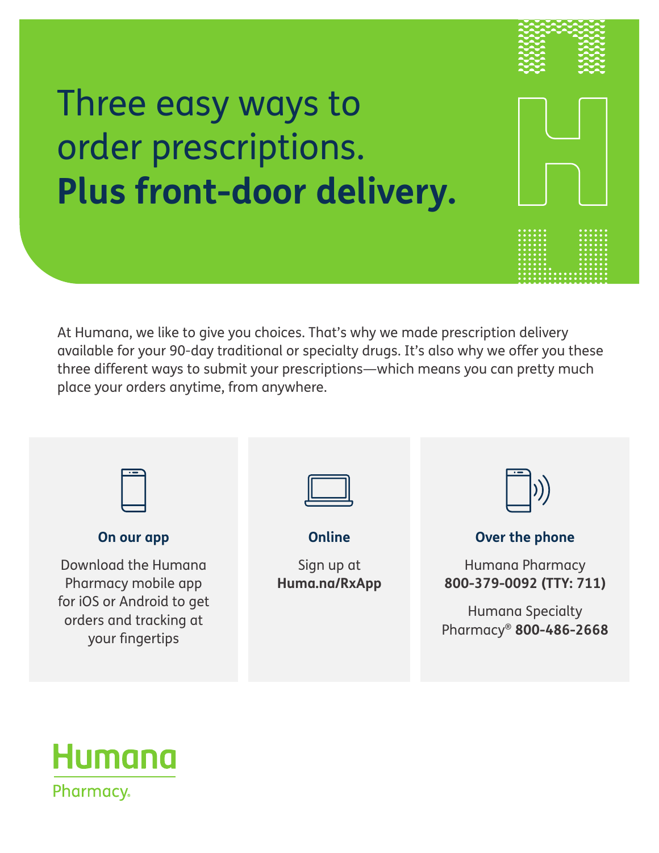## Three easy ways to order prescriptions. **Plus front-door delivery.**

At Humana, we like to give you choices. That's why we made prescription delivery available for your 90-day traditional or specialty drugs. It's also why we offer you these three different ways to submit your prescriptions—which means you can pretty much place your orders anytime, from anywhere.